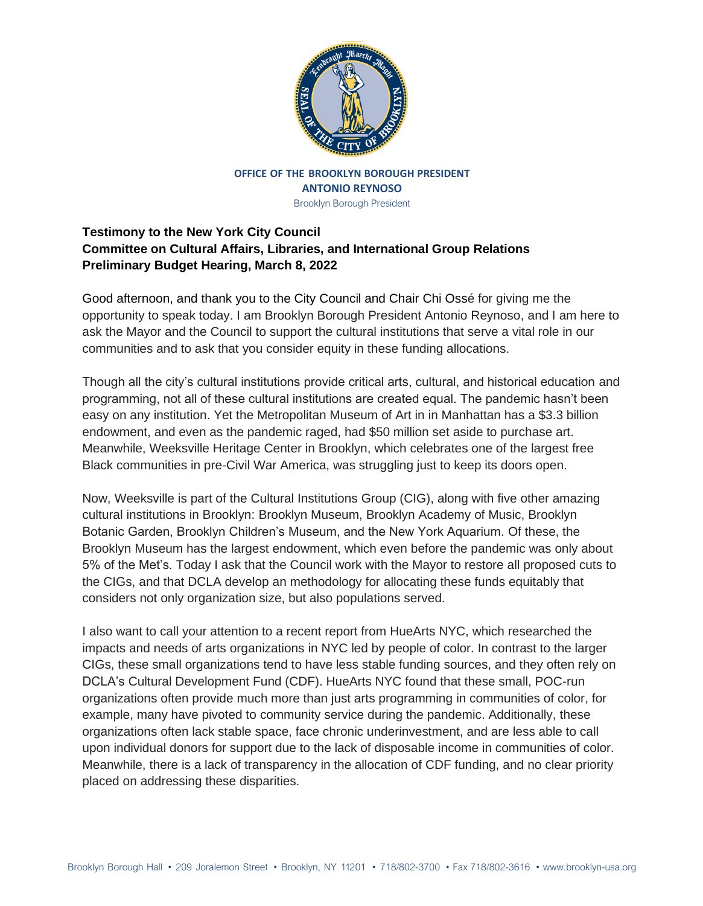

## **OFFICE OF THE BROOKLYN BOROUGH PRESIDENT ANTONIO REYNOSO**

Brooklyn Borough President

## **Testimony to the New York City Council Committee on Cultural Affairs, Libraries, and International Group Relations Preliminary Budget Hearing, March 8, 2022**

Good afternoon, and thank you to the City Council and Chair Chi Ossé for giving me the opportunity to speak today. I am Brooklyn Borough President Antonio Reynoso, and I am here to ask the Mayor and the Council to support the cultural institutions that serve a vital role in our communities and to ask that you consider equity in these funding allocations.

Though all the city's cultural institutions provide critical arts, cultural, and historical education and programming, not all of these cultural institutions are created equal. The pandemic hasn't been easy on any institution. Yet the Metropolitan Museum of Art in in Manhattan has a \$3.3 billion endowment, and even as the pandemic raged, had \$50 million set aside to purchase art. Meanwhile, Weeksville Heritage Center in Brooklyn, which celebrates one of the largest free Black communities in pre-Civil War America, was struggling just to keep its doors open.

Now, Weeksville is part of the Cultural Institutions Group (CIG), along with five other amazing cultural institutions in Brooklyn: Brooklyn Museum, Brooklyn Academy of Music, Brooklyn Botanic Garden, Brooklyn Children's Museum, and the New York Aquarium. Of these, the Brooklyn Museum has the largest endowment, which even before the pandemic was only about 5% of the Met's. Today I ask that the Council work with the Mayor to restore all proposed cuts to the CIGs, and that DCLA develop an methodology for allocating these funds equitably that considers not only organization size, but also populations served.

I also want to call your attention to a recent report from HueArts NYC, which researched the impacts and needs of arts organizations in NYC led by people of color. In contrast to the larger CIGs, these small organizations tend to have less stable funding sources, and they often rely on DCLA's Cultural Development Fund (CDF). HueArts NYC found that these small, POC-run organizations often provide much more than just arts programming in communities of color, for example, many have pivoted to community service during the pandemic. Additionally, these organizations often lack stable space, face chronic underinvestment, and are less able to call upon individual donors for support due to the lack of disposable income in communities of color. Meanwhile, there is a lack of transparency in the allocation of CDF funding, and no clear priority placed on addressing these disparities.